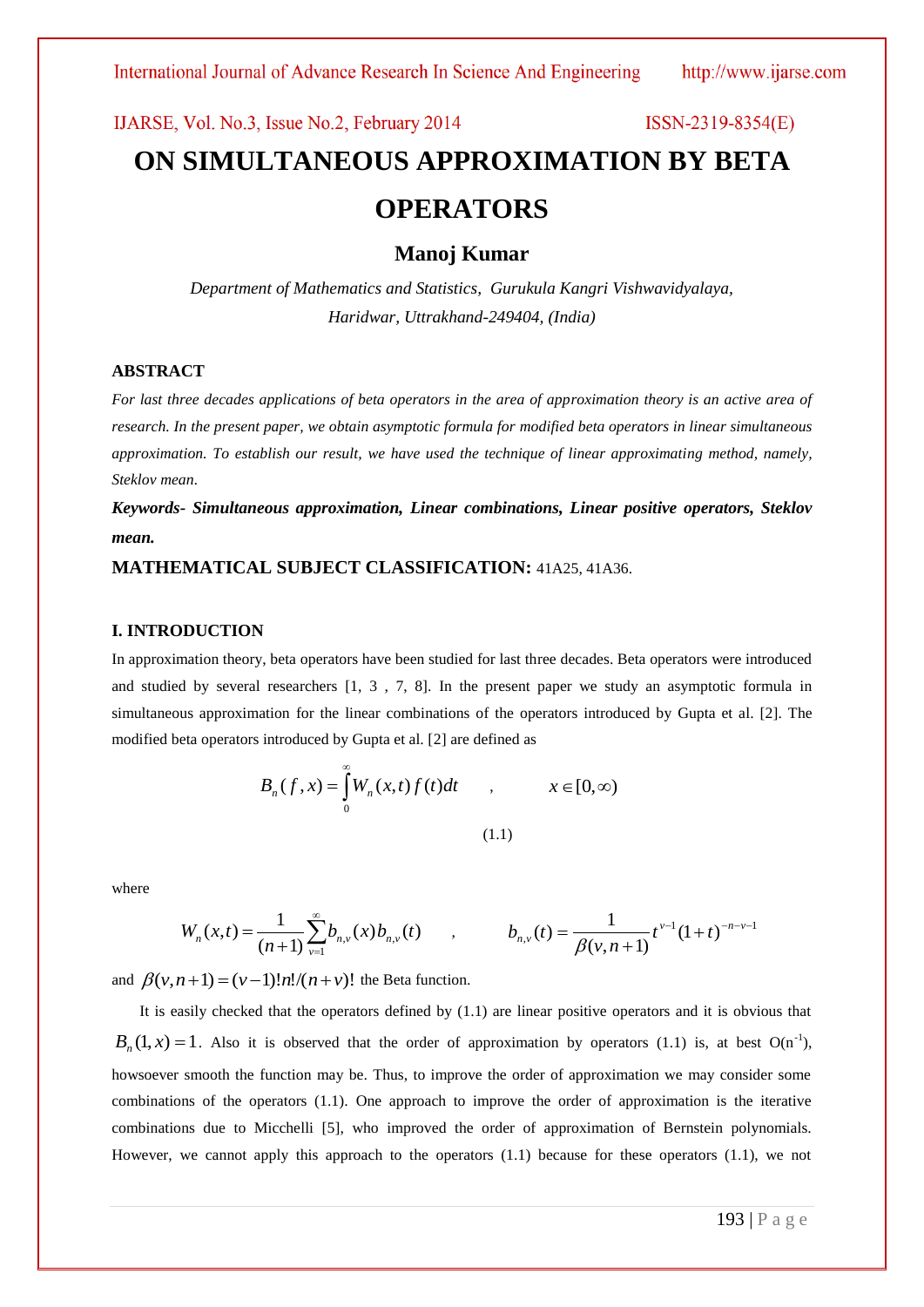# IJARSE, Vol. No.3, Issue No.2, February 2014  $ISSN-2319-8354(E)$ **ON SIMULTANEOUS APPROXIMATION BY BETA OPERATORS**

**Manoj Kumar**

*Department of Mathematics and Statistics, Gurukula Kangri Vishwavidyalaya, Haridwar, Uttrakhand-249404, (India)*

#### **ABSTRACT**

*For last three decades applications of beta operators in the area of approximation theory is an active area of research. In the present paper, we obtain asymptotic formula for modified beta operators in linear simultaneous approximation. To establish our result, we have used the technique of linear approximating method, namely, Steklov mean.* 

*Keywords- Simultaneous approximation, Linear combinations, Linear positive operators, Steklov mean.*

### **MATHEMATICAL SUBJECT CLASSIFICATION:** 41A25, 41A36.

#### **I. INTRODUCTION**

In approximation theory, beta operators have been studied for last three decades. Beta operators were introduced and studied by several researchers [1, 3 , 7, 8]. In the present paper we study an asymptotic formula in simultaneous approximation for the linear combinations of the operators introduced by Gupta et al. [2]. The modified beta operators introduced by Gupta et al. [2] are defined as

$$
B_n(f, x) = \int_0^\infty W_n(x, t) f(t) dt \qquad , \qquad x \in [0, \infty)
$$
\n(1.1)

where

$$
W_n(x,t) = \frac{1}{(n+1)} \sum_{\nu=1}^{\infty} b_{n,\nu}(x) b_{n,\nu}(t) \qquad , \qquad b_{n,\nu}(t) = \frac{1}{\beta(\nu,n+1)} t^{\nu-1} (1+t)^{-n-\nu-1}
$$

and  $\beta(v, n+1) = (v-1)!n!/(n+v)!$  the Beta function.

It is easily checked that the operators defined by (1.1) are linear positive operators and it is obvious that  $B_n(1, x) = 1$ . Also it is observed that the order of approximation by operators (1.1) is, at best O(n<sup>-1</sup>), howsoever smooth the function may be. Thus, to improve the order of approximation we may consider some combinations of the operators (1.1). One approach to improve the order of approximation is the iterative combinations due to Micchelli [5], who improved the order of approximation of Bernstein polynomials. However, we cannot apply this approach to the operators (1.1) because for these operators (1.1), we not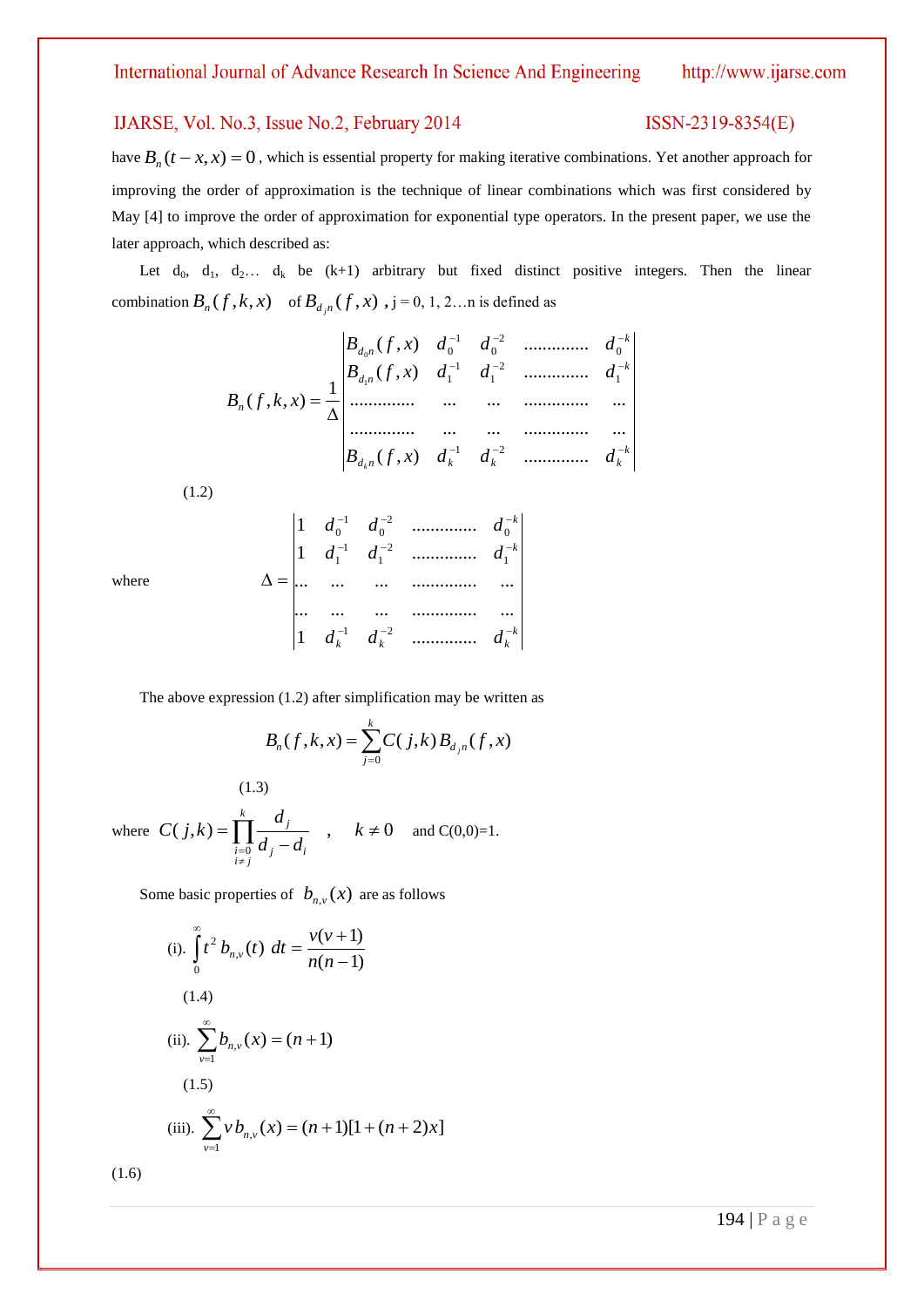### IJARSE, Vol. No.3, Issue No.2, February 2014

### ISSN-2319-8354(E)

have  $B_n(t - x, x) = 0$ , which is essential property for making iterative combinations. Yet another approach for improving the order of approximation is the technique of linear combinations which was first considered by May [4] to improve the order of approximation for exponential type operators. In the present paper, we use the later approach, which described as:

Let  $d_0$ ,  $d_1$ ,  $d_2$ ...  $d_k$  be (k+1) arbitrary but fixed distinct positive integers. Then the linear combination  $B_n(f, k, x)$  of  $B_{d,n}(f, x)$ ,  $j = 0, 1, 2...$  is defined as

$$
B_{n}(f, k, x) = \frac{1}{\Delta} \begin{vmatrix} B_{d_{0}n}(f, x) & d_{0}^{-1} & d_{0}^{-2} & \dots & d_{0}^{-k} \\ B_{d_{1}n}(f, x) & d_{1}^{-1} & d_{1}^{-2} & \dots & d_{1}^{-k} \\ \dots & \dots & \dots & \dots & \dots \\ \dots & \dots & \dots & \dots & \dots \\ B_{d_{k}n}(f, x) & d_{k}^{-1} & d_{k}^{-2} & \dots & d_{k}^{-k} \end{vmatrix}
$$

(1.2)

where

|  |  | $=\begin{vmatrix} 1 & d_0^{-1} & d_0^{-2} & \dots & \dots & d_0^{-k} \\ 1 & d_1^{-1} & d_1^{-2} & \dots & \dots & d_1^{-k} \\ \dots & \dots & \dots & \dots & \dots & \dots \\ \dots & \dots & \dots & \dots & \dots & \dots \\ 1 & d_k^{-1} & d_k^{-2} & \dots & \dots & d_k^{-k} \end{vmatrix}$ |  |
|--|--|---------------------------------------------------------------------------------------------------------------------------------------------------------------------------------------------------------------------------------------------------------------------------------------------------|--|
|  |  |                                                                                                                                                                                                                                                                                                   |  |
|  |  |                                                                                                                                                                                                                                                                                                   |  |
|  |  |                                                                                                                                                                                                                                                                                                   |  |

The above expression (1.2) after simplification may be written as

$$
B_n(f, k, x) = \sum_{j=0}^k C(j, k) B_{d_j n}(f, x)
$$

(1.3)  
\nwhere 
$$
C(j,k) = \prod_{\substack{i=0 \ i \neq j}}^{k} \frac{d_j}{d_j - d_i}
$$
,  $k \neq 0$  and  $C(0,0)=1$ .

Some basic properties of  $b_{n,\nu}(x)$  are as follows

(i). 
$$
\int_{0}^{\infty} t^{2} b_{n,v}(t) dt = \frac{v(v+1)}{n(n-1)}
$$
  
(1.4)  
(ii). 
$$
\sum_{v=1}^{\infty} b_{n,v}(x) = (n+1)
$$
  
(1.5)  
(iii). 
$$
\sum_{v=1}^{\infty} v b_{n,v}(x) = (n+1)[1 + (n+2)x]
$$

(1.6)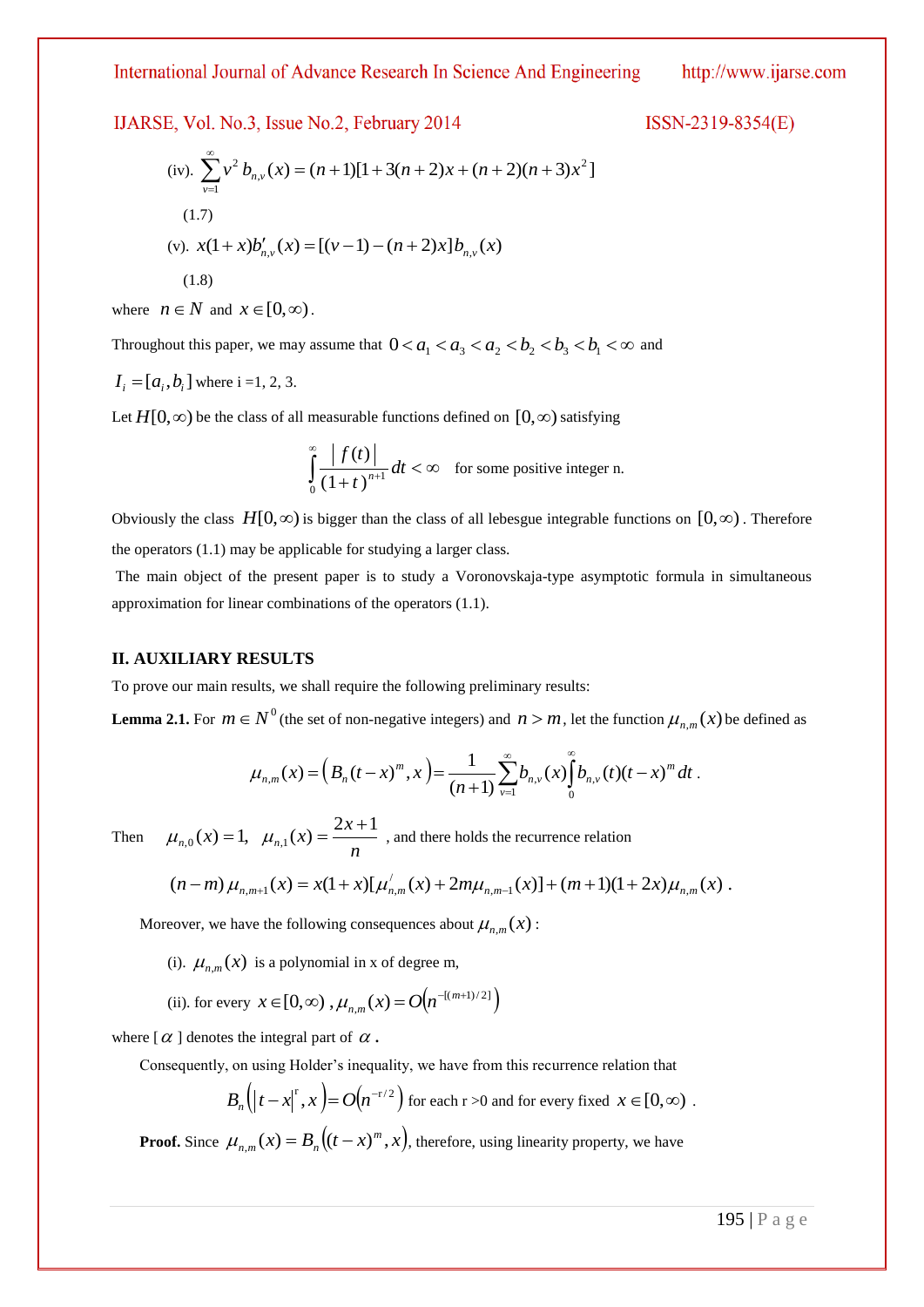IJARSE, Vol. No.3, Issue No.2, February 2014

 $ISSN-2319-8354(E)$ 

(iv). 
$$
\sum_{v=1}^{\infty} v^2 b_{n,v}(x) = (n+1)[1+3(n+2)x + (n+2)(n+3)x^2]
$$
  
(1.7)  
(v).  $x(1+x)b'_{n,v}(x) = [(v-1)-(n+2)x]b_{n,v}(x)$   
(1.8)

where  $n \in N$  and  $x \in [0, \infty)$ .

Throughout this paper, we may assume that  $0 < a_1 < a_3 < a_2 < b_2 < b_3 < b_1 < \infty$  and

$$
I_i = [a_i, b_i]
$$
 where i =1, 2, 3.

Let  $H[0, \infty)$  be the class of all measurable functions defined on  $[0, \infty)$  satisfying

$$
\int_{0}^{\infty} \frac{|f(t)|}{(1+t)^{n+1}} dt < \infty \quad \text{for some positive integer n.}
$$

Obviously the class  $H[0,\infty)$  is bigger than the class of all lebesgue integrable functions on  $[0,\infty)$ . Therefore the operators (1.1) may be applicable for studying a larger class.

The main object of the present paper is to study a Voronovskaja-type asymptotic formula in simultaneous approximation for linear combinations of the operators (1.1).

### **II. AUXILIARY RESULTS**

To prove our main results, we shall require the following preliminary results:

**Lemma 2.1.** For  $m \in N^0$  (the set of non-negative integers) and  $n > m$ , let the function  $\mu_{n,m}(x)$  be defined as

$$
\mu_{n,m}(x) = \left(B_n(t-x)^m, x\right) = \frac{1}{(n+1)} \sum_{\nu=1}^{\infty} b_{n,\nu}(x) \int_0^{\infty} b_{n,\nu}(t) (t-x)^m dt.
$$

The

en 
$$
\mu_{n,0}(x) = 1
$$
,  $\mu_{n,1}(x) = \frac{2x+1}{n}$ , and there holds the recurrence relation

$$
(n-m)\mu_{n,m+1}(x) = x(1+x)[\mu_{n,m}'(x) + 2m\mu_{n,m-1}(x)] + (m+1)(1+2x)\mu_{n,m}(x).
$$

Moreover, we have the following consequences about  $\mu_{n,m}(x)$ :

(i).  $\mu_{n,m}(x)$  is a polynomial in x of degree m,

(ii). for every  $x \in [0, \infty)$ ,  $\mu_{nm}(x) = O(n^{-[(m+1)/2]})$  $x \in [0, \infty)$  ,  $\mu_{n,m}(x) = O(n^{-[(m+n)]})$ 

where  $[\alpha]$  denotes the integral part of  $\alpha$ .

Consequently, on using Holder's inequality, we have from this recurrence relation that

$$
B_n(|t-x|^r, x) = O(n^{-r/2})
$$
 for each  $r > 0$  and for every fixed  $x \in [0, \infty)$ .

**Proof.** Since  $\mu_{n,m}(x) = B_n((t-x)^m, x)$ ,  $\mu_{n,m}(x) = B_n \big( (t - x)^m, x \big)$ , therefore, using linearity property, we have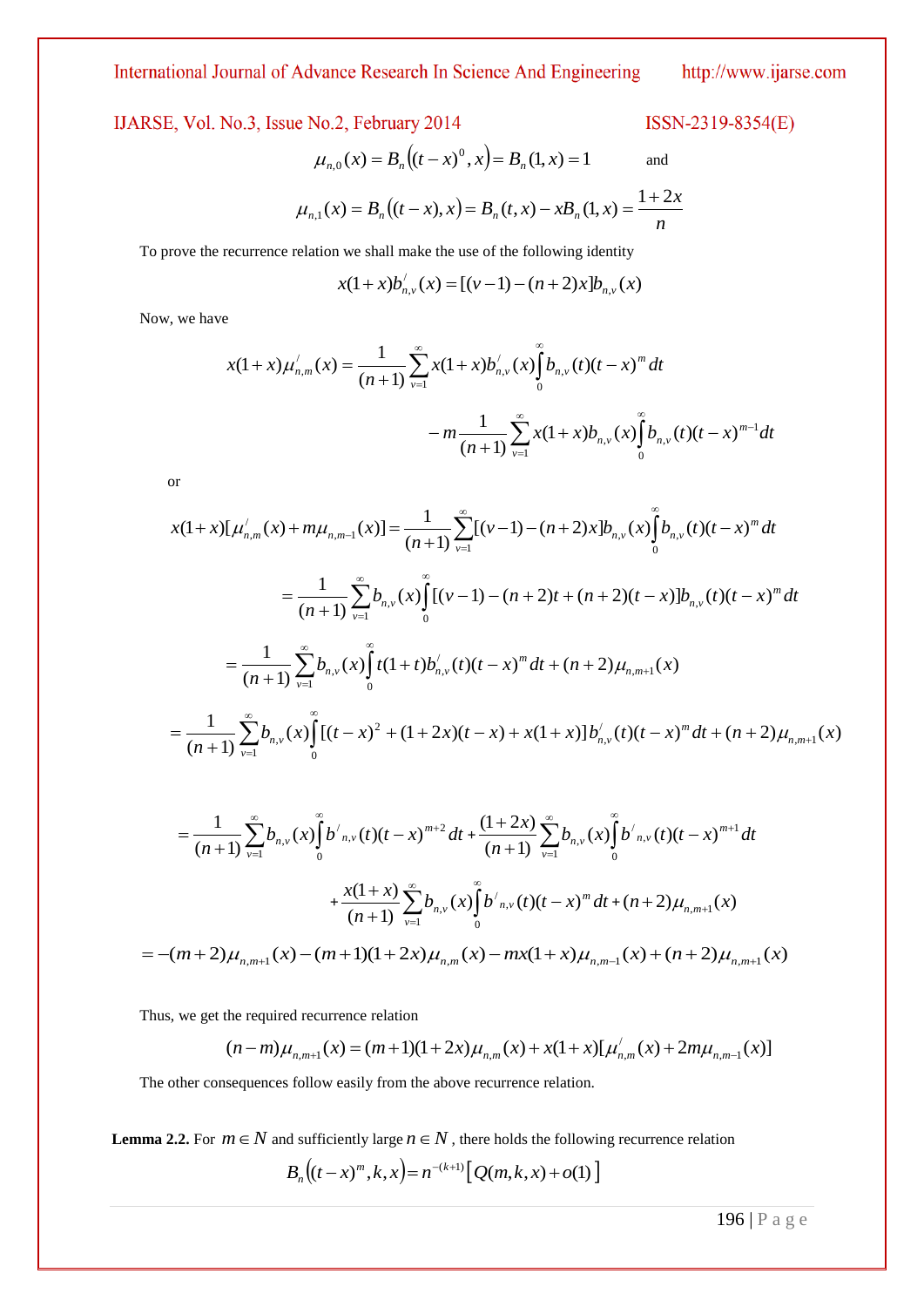IJARSE, Vol. No.3, Issue No.2, February 2014

$$
\mu_{n,0}(x) = B_n((t-x)^0, x) = B_n(1, x) = 1
$$
 and

ISSN-2319-8354(E)

$$
\mu_{n,1}(x) = B_n((t-x), x) = B_n(t, x) - xB_n(1, x) = \frac{1+2x}{n}
$$

To prove the recurrence relation we shall make the use of the following identity

$$
x(1+x)b'_{n,v}(x) = [(v-1)-(n+2)x]b_{n,v}(x)
$$

Now, we have

$$
x(1+x)\mu'_{n,m}(x) = \frac{1}{(n+1)} \sum_{\nu=1}^{\infty} x(1+x)b'_{n,\nu}(x)\int_{0}^{\infty} b_{n,\nu}(t)(t-x)^{m} dt
$$

$$
-m \frac{1}{(n+1)} \sum_{\nu=1}^{\infty} x(1+x)b_{n,\nu}(x)\int_{0}^{\infty} b_{n,\nu}(t)(t-x)^{m-1} dt
$$

or

$$
\mu_{n,0}(x) = B_n((t-x)^0, x) = B_n(1, x) = 1 \qquad \text{and}
$$
\n
$$
\mu_{n,1}(x) = B_n((t-x), x) = B_n(t, x) - xB_n(1, x) = \frac{1+2x}{n}
$$
\n\nProve the recurrence relation we shall make the use of the following identity\n
$$
x(1+x)\mu'_{n,n}(x) = [(v-1)-(n+2)x]\mu_{n,v}(x)
$$
\n
$$
v, \text{ we have}
$$
\n
$$
x(1+x)\mu'_{n,n}(x) = \frac{1}{(n+1)}\sum_{r=1}^{\infty} x(1+x)b'_{n,r}(x)\int_{0}^{r} b_{n,r}(t)(t-x)^m dt
$$
\n
$$
-m\frac{1}{(n+1)}\sum_{r=1}^{\infty} x(1+x)b'_{n,r}(x)\int_{0}^{r} b_{n,r}(t)(t-x)^{m-1}dt
$$
\n
$$
-m\frac{1}{(n+1)}\sum_{r=1}^{\infty} x(1+x)b'_{n,r}(x)\int_{0}^{r} b_{n,r}(t)(t-x)^{m-1}dt
$$
\n
$$
= \frac{1}{(n+1)}\sum_{r=1}^{\infty} b_{n,r}(x)\int_{0}^{r} [(v-1)-(n+2)x+b'_{n,r}(x)\int_{0}^{r} b_{n,r}(t)(t-x)^m dt
$$
\n
$$
= \frac{1}{(n+1)}\sum_{r=1}^{\infty} b_{n,r}(x)\int_{0}^{r} [(1+t)b'_{n,r}(t)(t-x)^m dt + (n+2)\mu_{n,m+1}(x)
$$
\n
$$
= \frac{1}{(n+1)}\sum_{r=1}^{\infty} b_{n,r}(x)\int_{0}^{r} [(1+t)b'_{n,r}(t)(t-x)^m dt + (n+2)\mu_{n,m+1}(x)
$$
\n
$$
= \frac{1}{(n+1)}\sum_{r=1}^{\infty} b_{n,r}(x)\int_{0}^{r} b'(x+t)(t-x)^m dt + (n+2)\mu_{n,m+1}(x)
$$
\n
$$
= \frac{1}{(n+1)}\sum_{r=1}^{\infty} b_{n,r}(x)\int_{0}^{r} b'(x,t)(t-x)^m dt + (n+2)\mu_{n,m+1}(x)
$$

$$
= \frac{1}{(n+1)} \sum_{\nu=1}^{\infty} b_{n,\nu}(x) \int_{0}^{\infty} b'_{n,\nu}(t) (t-x)^{m+2} dt + \frac{(1+2x)}{(n+1)} \sum_{\nu=1}^{\infty} b_{n,\nu}(x) \int_{0}^{\infty} b'_{n,\nu}(t) (t-x)^{m+1} dt
$$
  
+ 
$$
\frac{x(1+x)}{(n+1)} \sum_{\nu=1}^{\infty} b_{n,\nu}(x) \int_{0}^{\infty} b'_{n,\nu}(t) (t-x)^{m} dt + (n+2) \mu_{n,m+1}(x)
$$
  
= 
$$
-(m+2) \mu_{n,m+1}(x) - (m+1)(1+2x) \mu_{n,m}(x) - mx(1+x) \mu_{n,m-1}(x) + (n+2) \mu_{n,m+1}(x)
$$

Thus, we get the required recurrence relation

$$
(n-m)\mu_{n,m+1}(x) = (m+1)(1+2x)\mu_{n,m}(x) + x(1+x)[\mu'_{n,m}(x) + 2m\mu_{n,m-1}(x)]
$$

The other consequences follow easily from the above recurrence relation.

**Lemma 2.2.** For  $m \in N$  and sufficiently large  $n \in N$ , there holds the following recurrence relation

$$
B_n((t-x)^m, k, x) = n^{-(k+1)} [Q(m, k, x) + o(1)]
$$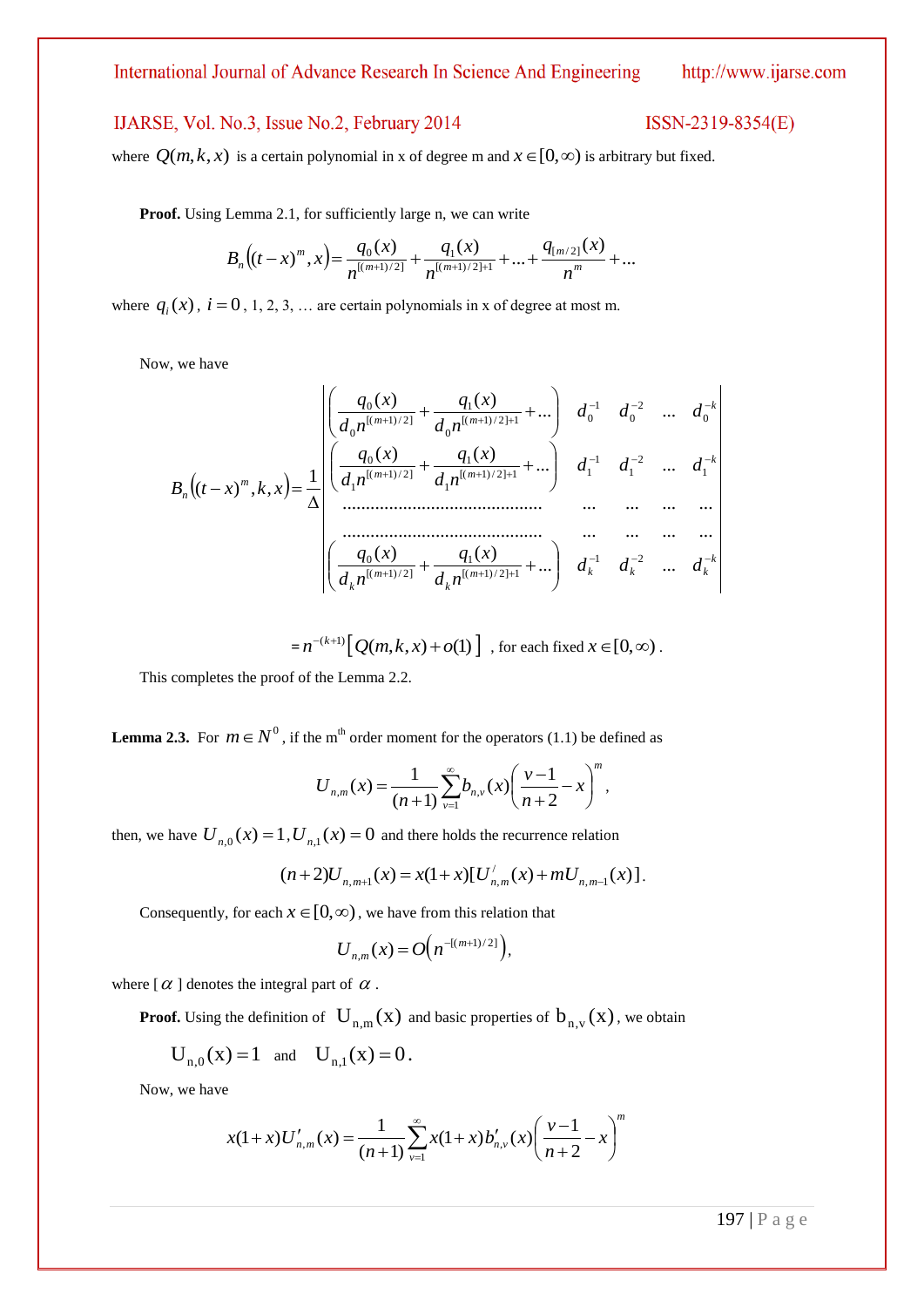## IJARSE, Vol. No.3, Issue No.2, February 2014

### ISSN-2319-8354(E)

where  $Q(m, k, x)$  is a certain polynomial in x of degree m and  $x \in [0, \infty)$  is arbitrary but fixed.

**Proof.** Using Lemma 2.1, for sufficiently large n, we can write

$$
B_n((t-x)^m,x) = \frac{q_0(x)}{n^{\lfloor (m+1)/2 \rfloor}} + \frac{q_1(x)}{n^{\lfloor (m+1)/2 \rfloor + 1}} + \dots + \frac{q_{\lfloor m/2 \rfloor}(x)}{n^m} + \dots
$$

where  $q_i(x)$ ,  $i = 0, 1, 2, 3, \dots$  are certain polynomials in x of degree at most m.

Now, we have

$$
B_n((t-x)^m, k, x) = \frac{1}{\Delta} \begin{bmatrix} \frac{q_0(x)}{d_0 n^{[(m+1)/2]}} + \frac{q_1(x)}{d_0 n^{[(m+1)/2]+1}} + \dots & d_0^{-1} & d_0^{-2} & \dots & d_0^{-k} \\ \frac{q_0(x)}{d_1 n^{[(m+1)/2]}} + \frac{q_1(x)}{d_1 n^{[(m+1)/2]+1}} + \dots & d_1^{-1} & d_1^{-2} & \dots & d_1^{-k} \\ \vdots & \vdots & \vdots & \ddots & \vdots \\ \frac{q_0(x)}{d_k n^{[(m+1)/2]}} + \frac{q_1(x)}{d_k n^{[(m+1)/2]+1}} + \dots & d_k^{-1} & d_k^{-2} & \dots & d_k^{-k} \end{bmatrix}
$$

$$
= n^{-(k+1)} [Q(m,k,x) + o(1)] , \text{ for each fixed } x \in [0,\infty) .
$$

This completes the proof of the Lemma 2.2.

**Lemma 2.3.** For  $m \in N^0$ , if the m<sup>th</sup> order moment for the operators (1.1) be defined as

$$
U_{n,m}(x) = \frac{1}{(n+1)} \sum_{\nu=1}^{\infty} b_{n,\nu}(x) \left( \frac{\nu-1}{n+2} - x \right)^m,
$$

then, we have  $U_{n,0}(x) = 1$ ,  $U_{n,1}(x) = 0$  and there holds the recurrence relation

$$
(n+2)U_{n,m+1}(x) = x(1+x)[U'_{n,m}(x) + mU_{n,m-1}(x)].
$$

Consequently, for each  $x \in [0, \infty)$ , we have from this relation that

$$
U_{n,m}(x) = O\big(n^{-[(m+1)/2]}\big),
$$

where  $\alpha$  ] denotes the integral part of  $\alpha$ .

**Proof.** Using the definition of  $U_{n,m}(x)$  and basic properties of  $b_{n,v}(x)$ , we obtain

$$
U_{n,0}(x) = 1
$$
 and  $U_{n,1}(x) = 0$ .

Now, we have

$$
x(1+x)U'_{n,m}(x) = \frac{1}{(n+1)}\sum_{\nu=1}^{\infty} x(1+x) b'_{n,\nu}(x) \left(\frac{\nu-1}{n+2} - x\right)^m
$$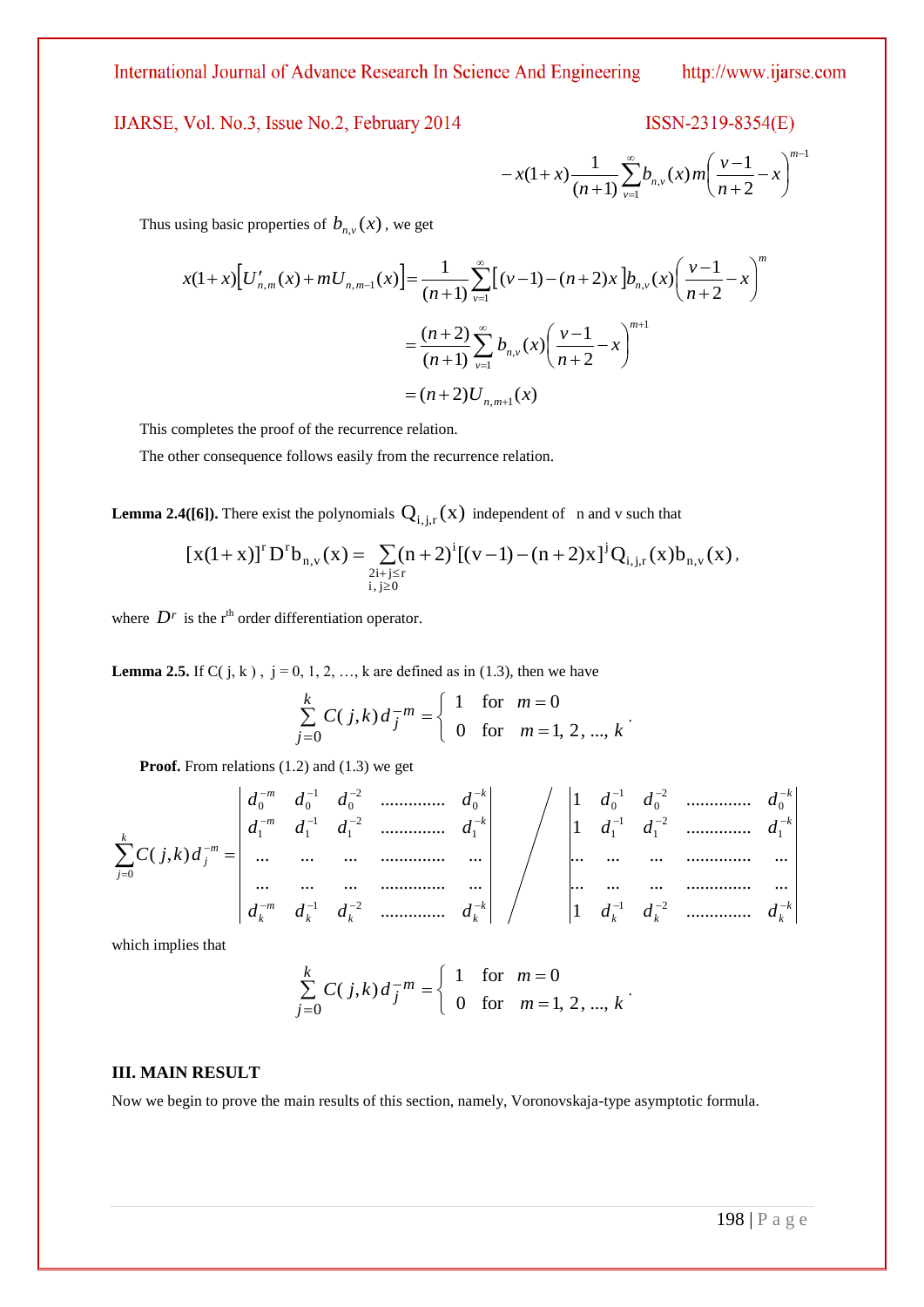IJARSE, Vol. No.3, Issue No.2, February 2014

$$
ISSN-2319-8354(E)
$$

$$
-x(1+x)\frac{1}{(n+1)}\sum_{\nu=1}^{\infty}b_{n,\nu}(x)m\left(\frac{\nu-1}{n+2}-x\right)^{m-1}
$$

Thus using basic properties of  $b_{n,v}(x)$ , we get

$$
x(1+x)\left[U'_{n,m}(x)+mU_{n,m-1}(x)\right] = \frac{1}{(n+1)}\sum_{\nu=1}^{\infty} \left[(\nu-1)-(n+2)x\right]b_{n,\nu}(x)\left(\frac{\nu-1}{n+2}-x\right)^{m}
$$

$$
=\frac{(n+2)}{(n+1)}\sum_{\nu=1}^{\infty}b_{n,\nu}(x)\left(\frac{\nu-1}{n+2}-x\right)^{m+1}
$$

$$
=(n+2)U_{n,m+1}(x)
$$

This completes the proof of the recurrence relation.

The other consequence follows easily from the recurrence relation.

**Lemma 2.4([6]).** There exist the polynomials  $Q_{i,j,r}(x)$  independent of n and v such that

$$
[x(1+x)]^{r} D^{r} b_{n,v}(x) = \sum_{\substack{2i+j \leq r \\ i,j \geq 0}} (n+2)^{i} [(v-1) - (n+2)x]^{j} Q_{i,j,r}(x) b_{n,v}(x),
$$

where  $D^r$  is the r<sup>th</sup> order differentiation operator.

**Lemma 2.5.** If C( $j, k$ ),  $j = 0, 1, 2, ..., k$  are defined as in (1.3), then we have

$$
\sum_{j=0}^{k} C(j,k) d_j^{-m} = \begin{cases} 1 & \text{for } m = 0 \\ 0 & \text{for } m = 1, 2, ..., k \end{cases}.
$$

**Proof.** From relations (1.2) and (1.3) we get

198 | P a g e1 *k k k k k k k k k k m k m k m k k j m j d d d d d d d d d d d d d d d d d d d d d C j k d* 1 .............. ... ... ... .............. ... ... ... ... .............. ... 1 .............. 1 .............. .............. ... ... ... .............. ... ... ... ... .............. ... .............. .............. ( , ) 1 2 1 2 1 1 1 0 2 0 1 0 1 2 1 2 1 1 1 1 0 2 0 1 0 0 0

which implies that

$$
\sum_{j=0}^{k} C(j,k) d_j^{-m} = \begin{cases} 1 & \text{for } m = 0 \\ 0 & \text{for } m = 1, 2, ..., k \end{cases}.
$$

#### **III. MAIN RESULT**

Now we begin to prove the main results of this section, namely, Voronovskaja-type asymptotic formula.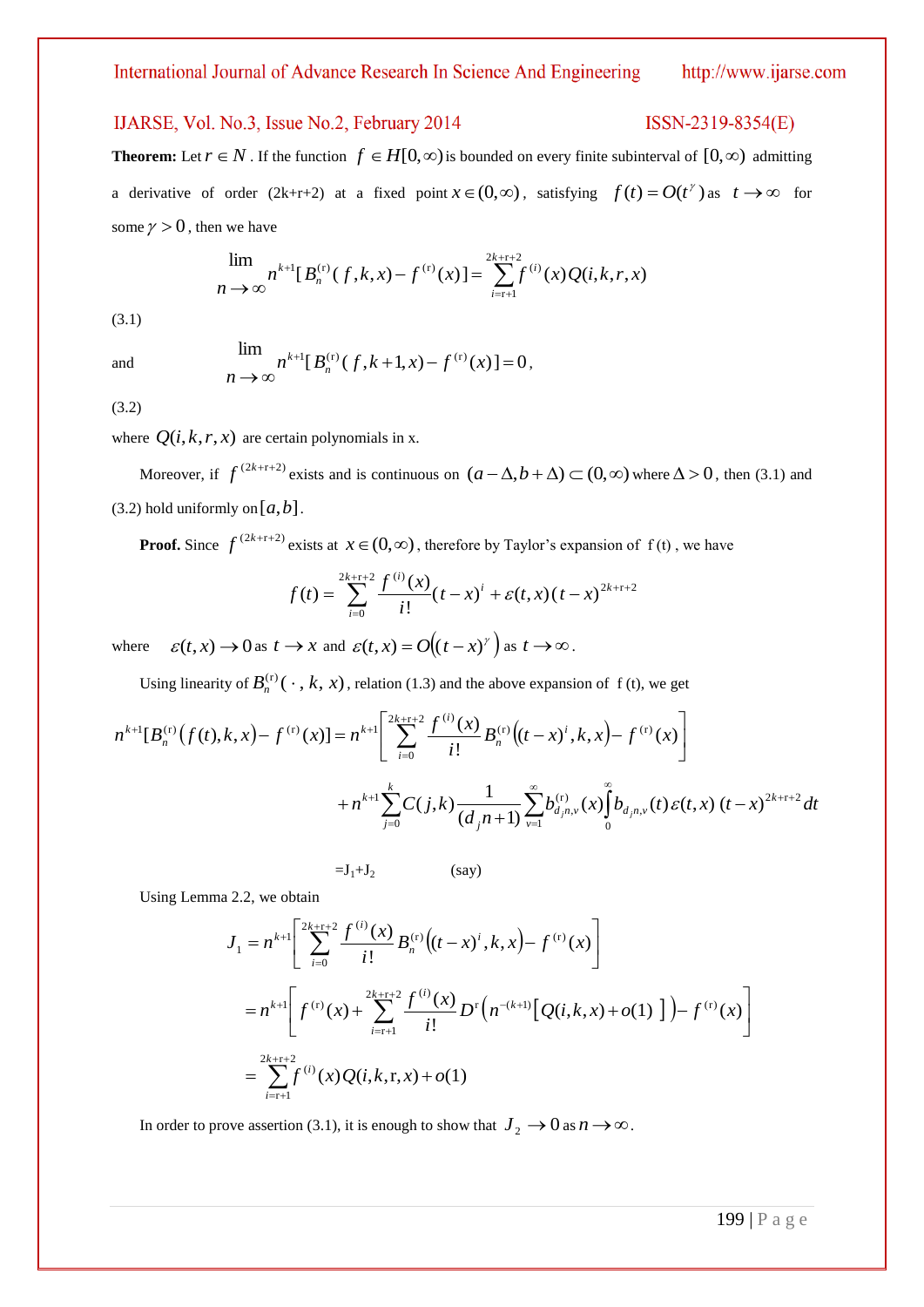$ISSN-2319-8354(E)$ 

## IJARSE, Vol. No.3, Issue No.2, February 2014

# **Theorem:** Let  $r \in N$ . If the function  $f \in H[0,\infty)$  is bounded on every finite subinterval of  $[0,\infty)$  admitting a derivative of order (2k+r+2) at a fixed point  $x \in (0, \infty)$ , satisfying  $f(t) = O(t^{\gamma})$  as  $t \to \infty$  for some  $\gamma > 0$ , then we have

$$
\lim_{n \to \infty} n^{k+1} [B_n^{(r)}(f,k,x) - f^{(r)}(x)] = \sum_{i=r+1}^{2k+r+2} f^{(i)}(x) Q(i,k,r,x)
$$

(3.1)

and

$$
\lim_{n \to \infty} n^{k+1} [B_n^{(r)}(f, k+1, x) - f^{(r)}(x)] = 0,
$$

(3.2)

where  $Q(i, k, r, x)$  are certain polynomials in x.

Moreover, if  $f^{(2k+r+2)}$  exists and is continuous on  $(a - \Delta, b + \Delta) \subset (0, \infty)$  where  $\Delta > 0$ , then (3.1) and  $(3.2)$  hold uniformly on  $[a,b]$ .

**Proof.** Since  $f^{(2k+r+2)}$  exists at  $x \in (0, \infty)$ , therefore by Taylor's expansion of f(t), we have

$$
f(t) = \sum_{i=0}^{2k+r+2} \frac{f^{(i)}(x)}{i!} (t-x)^{i} + \varepsilon(t,x) (t-x)^{2k+r+2}
$$

where  $\varepsilon(t, x) \to 0$  as  $t \to x$  and  $\varepsilon(t, x) = O((t - x)^{t})$  as  $t \to \infty$ .

Using linearity of  $B_n^{(r)}(\cdot, k, x)$ , relation (1.3) and the above expansion of f (t), we get

$$
n^{k+1}[B_n^{(r)}(f(t),k,x)-f^{(r)}(x)]=n^{k+1}\left[\sum_{i=0}^{2k+r+2}\frac{f^{(i)}(x)}{i!}B_n^{(r)}\big((t-x)^i,k,x\big)-f^{(r)}(x)\right] +n^{k+1}\sum_{j=0}^k C(j,k)\frac{1}{(d_jn+1)}\sum_{\nu=1}^\infty b_{d_jn,\nu}^{(r)}(x)\int_0^\infty b_{d_jn,\nu}(t)\varepsilon(t,x)(t-x)^{2k+r+2}dt
$$

 $=J_1+J_2$  (say)

Using Lemma 2.2, we obtain

$$
J_{1} = n^{k+1} \left[ \sum_{i=0}^{2k+r+2} \frac{f^{(i)}(x)}{i!} B_{n}^{(r)} \left( (t-x)^{i}, k, x \right) - f^{(r)}(x) \right]
$$
  

$$
= n^{k+1} \left[ f^{(r)}(x) + \sum_{i=r+1}^{2k+r+2} \frac{f^{(i)}(x)}{i!} D^{r} \left( n^{-(k+1)} \left[ Q(i,k,x) + o(1) \right] \right) - f^{(r)}(x) \right]
$$
  

$$
= \sum_{i=r+1}^{2k+r+2} f^{(i)}(x) Q(i,k,r,x) + o(1)
$$

In order to prove assertion (3.1), it is enough to show that  $J_2 \to 0$  as  $n \to \infty$ .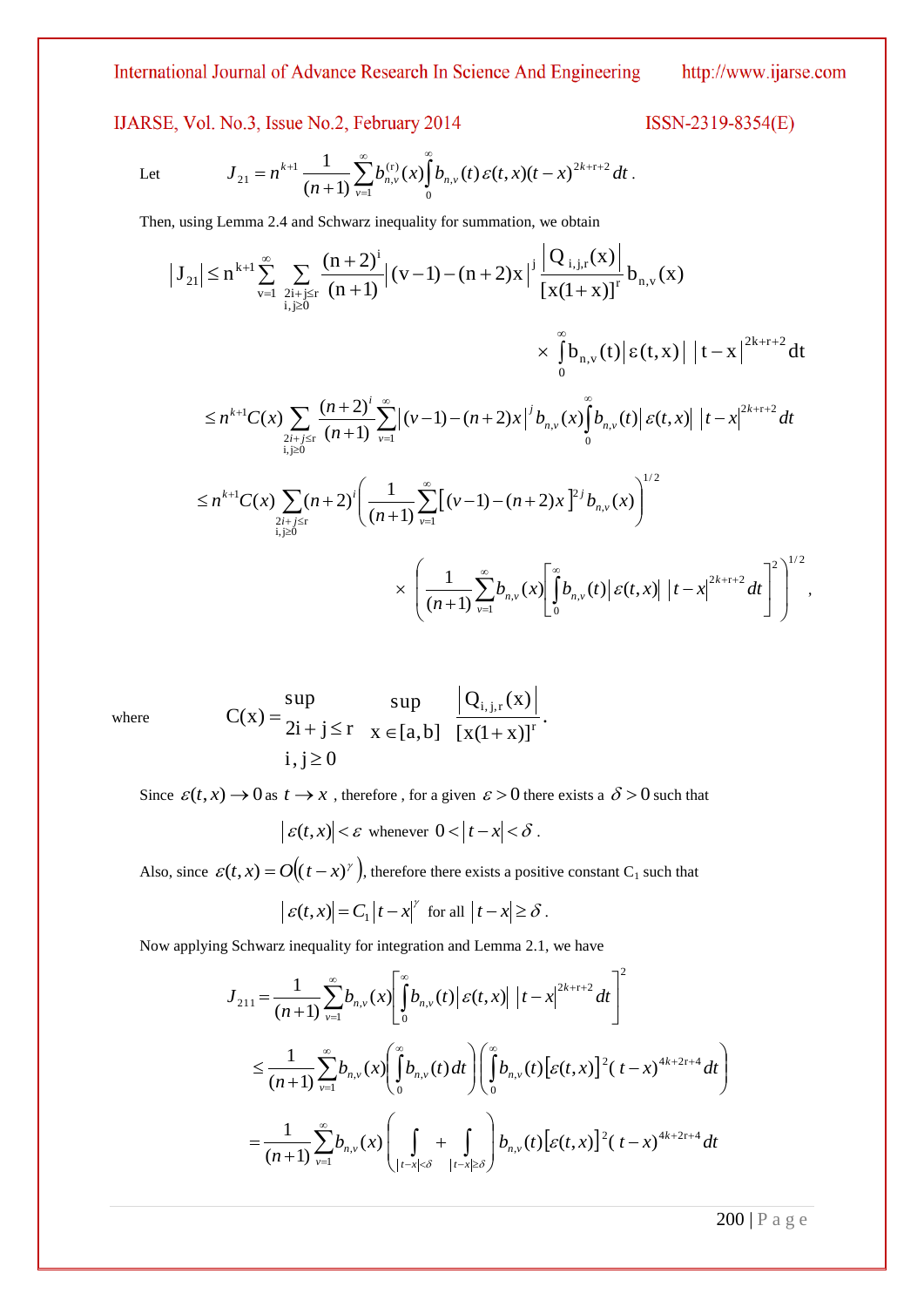# IJARSE, Vol. No.3, Issue No.2, February 2014

ISSN-2319-8354(E)

Let 
$$
J_{21} = n^{k+1} \frac{1}{(n+1)} \sum_{\nu=1}^{\infty} b_{n,\nu}^{(r)}(x) \int_{0}^{\infty} b_{n,\nu}(t) \, \varepsilon(t,x) (t-x)^{2k+r+2} \, dt.
$$

Then, using Lemma 2.4 and Schwarz inequality for summation, we obtain

$$
\begin{split}\n\left|J_{21}\right| &\leq n^{k+1} \sum_{v=1}^{\infty} \sum_{\substack{2i+j \leq r \\ i,j \geq 0}} \frac{(n+2)^{i}}{(n+1)} \left| (v-1) - (n+2)x \right|^{j} \frac{\left|Q_{i,j,r}(x)\right|}{\left[x(1+x)\right]^{r}} b_{n,v}(x) \\
&\qquad \qquad \times \int_{0}^{\infty} b_{n,v}(t) \left| \varepsilon(t,x) \right| \left| t-x \right|^{2k+r+2} dt \\
&\leq n^{k+1} C(x) \sum_{\substack{2i+j \leq r \\ i,j \geq 0}} \frac{(n+2)^{i}}{(n+1)} \sum_{v=1}^{\infty} \left| (v-1) - (n+2)x \right|^{j} b_{n,v}(x) \int_{0}^{\infty} b_{n,v}(t) \left| \varepsilon(t,x) \right| \left| t-x \right|^{2k+r+2} dt \\
&\leq n^{k+1} C(x) \sum_{\substack{2i+j \leq r \\ i,j \geq 0}} (n+2)^{i} \left( \frac{1}{(n+1)} \sum_{v=1}^{\infty} \left[ (v-1) - (n+2)x \right]^{2j} b_{n,v}(x) \right)^{1/2} \\
&\qquad \qquad \times \left( \frac{1}{(n+1)} \sum_{v=1}^{\infty} b_{n,v}(x) \left| \int_{0}^{\infty} b_{n,v}(t) \left| \varepsilon(t,x) \right| \left| t-x \right|^{2k+r+2} dt \right|^{2} \right)^{1/2},\n\end{split}
$$

where

$$
C(x) = \begin{cases} \sup_{2i+j \leq r} & \sup_{x \in [a,b]} \frac{|Q_{i,j,r}(x)|}{[x(1+x)]^r}. \\ i,j \geq 0 & \end{cases}
$$

Since  $\varepsilon(t, x) \to 0$  as  $t \to x$ , therefore, for a given  $\varepsilon > 0$  there exists a  $\delta > 0$  such that

$$
\big| \, \mathcal{E}(t,x) \big| < \mathcal{E} \text{ whenever } 0 < \big| \, t - x \big| < \delta \, .
$$

Also, since  $\varepsilon(t, x) = O((t - x)^{\gamma})$ , therefore there exists a positive constant C<sub>1</sub> such that

$$
|\varepsilon(t,x)| = C_1 |t-x|^\gamma
$$
 for all  $|t-x| \ge \delta$ .

Now applying Schwarz inequality for integration and Lemma 2.1, we have

$$
J_{211} = \frac{1}{(n+1)} \sum_{\nu=1}^{\infty} b_{n,\nu}(x) \left[ \int_{0}^{\infty} b_{n,\nu}(t) \, | \, \varepsilon(t,x) | \, |t-x|^{2k+r+2} \, dt \right]^2
$$
\n
$$
\leq \frac{1}{(n+1)} \sum_{\nu=1}^{\infty} b_{n,\nu}(x) \left( \int_{0}^{\infty} b_{n,\nu}(t) \, dt \right) \left( \int_{0}^{\infty} b_{n,\nu}(t) \left[ \varepsilon(t,x) \right]^2 (t-x)^{4k+2r+4} \, dt \right)
$$
\n
$$
= \frac{1}{(n+1)} \sum_{\nu=1}^{\infty} b_{n,\nu}(x) \left( \int_{|t-x| < \delta} + \int_{|t-x| \ge \delta} \int_{|t-x| \ge \delta} b_{n,\nu}(t) \left[ \varepsilon(t,x) \right]^2 (t-x)^{4k+2r+4} \, dt \right)
$$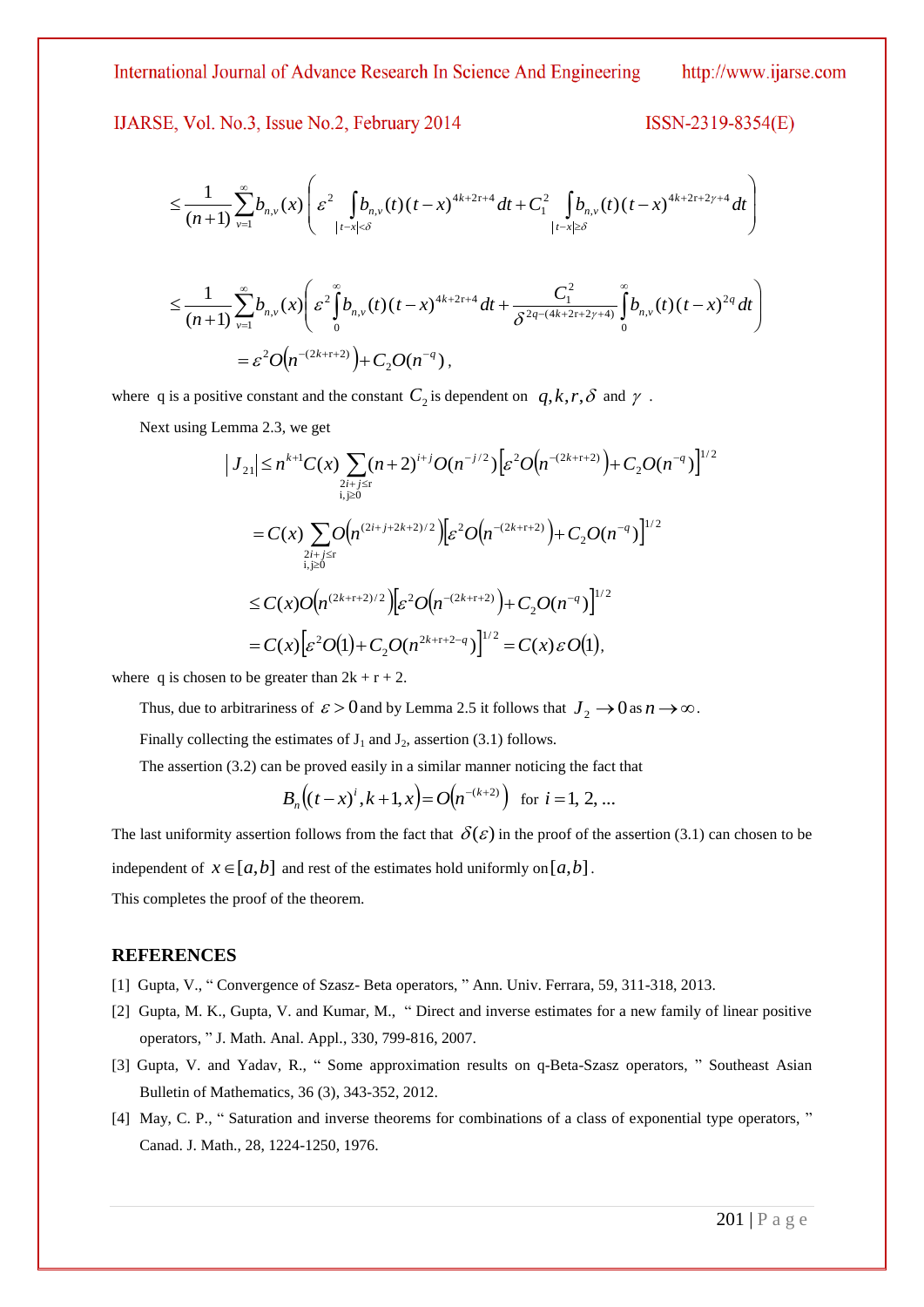IJARSE, Vol. No.3, Issue No.2, February 2014

$$
ISSN-2319-8354(E)
$$

$$
\leq \frac{1}{(n+1)} \sum_{\nu=1}^{\infty} b_{n,\nu}(x) \left( \varepsilon^2 \int_{|t-x| < \delta} b_{n,\nu}(t) (t-x)^{4k+2\tau+4} dt + C_1^2 \int_{|t-x| \geq \delta} b_{n,\nu}(t) (t-x)^{4k+2\tau+2\gamma+4} dt \right)
$$

$$
\leq \frac{1}{(n+1)} \sum_{\nu=1}^{\infty} b_{n,\nu}(x) \left( \varepsilon^2 \int_0^{\infty} b_{n,\nu}(t) (t-x)^{4k+2\tau+4} dt + \frac{C_1^2}{\delta^{2q-(4k+2\tau+2\gamma+4)}} \int_0^{\infty} b_{n,\nu}(t) (t-x)^{2q} dt \right)
$$
  
=  $\varepsilon^2 O(n^{-(2k+\tau+2)}) + C_2 O(n^{-q}),$ 

where q is a positive constant and the constant  $C_2$  is dependent on  $q, k, r, \delta$  and  $\gamma$ .

Next using Lemma 2.3, we get

$$
\begin{split}\n|J_{21}| &\le n^{k+1}C(x)\sum_{2i+j\le r}(n+2)^{i+j}O(n^{-j/2})\Big[\varepsilon^2O\big(n^{-(2k+r+2)}\big)+C_2O(n^{-q})\Big]^{1/2} \\
&= C(x)\sum_{2i+j\le r}O\big(n^{(2i+j+2k+2)/2}\big)\Big[\varepsilon^2O\big(n^{-(2k+r+2)}\big)+C_2O(n^{-q})\Big]^{1/2} \\
&\le C(x)O\big(n^{(2k+r+2)/2}\big)\Big[\varepsilon^2O\big(n^{-(2k+r+2)}\big)+C_2O(n^{-q})\Big]^{1/2} \\
&= C(x)\Big[\varepsilon^2O(1)+C_2O(n^{2k+r+2-q})\Big]^{1/2}=C(x)\varepsilon O(1),\n\end{split}
$$

where q is chosen to be greater than  $2k + r + 2$ .

Thus, due to arbitrariness of  $\varepsilon > 0$  and by Lemma 2.5 it follows that  $J_2 \to 0$  as  $n \to \infty$ .

Finally collecting the estimates of  $J_1$  and  $J_2$ , assertion (3.1) follows.

The assertion (3.2) can be proved easily in a similar manner noticing the fact that

$$
B_n((t-x)^i, k+1, x) = O(n^{-(k+2)}) \text{ for } i=1, 2, ...
$$

The last uniformity assertion follows from the fact that  $\delta(\varepsilon)$  in the proof of the assertion (3.1) can chosen to be independent of  $x \in [a, b]$  and rest of the estimates hold uniformly on  $[a, b]$ . This completes the proof of the theorem.

#### **REFERENCES**

- [1] Gupta, V., " Convergence of Szasz- Beta operators, " Ann. Univ. Ferrara, 59, 311-318, 2013.
- [2] Gupta, M. K., Gupta, V. and Kumar, M., " Direct and inverse estimates for a new family of linear positive operators, " J. Math. Anal. Appl., 330, 799-816, 2007.
- [3] Gupta, V. and Yadav, R., " Some approximation results on q-Beta-Szasz operators, " Southeast Asian Bulletin of Mathematics, 36 (3), 343-352, 2012.
- [4] May, C. P., " Saturation and inverse theorems for combinations of a class of exponential type operators, " Canad. J. Math., 28, 1224-1250, 1976.